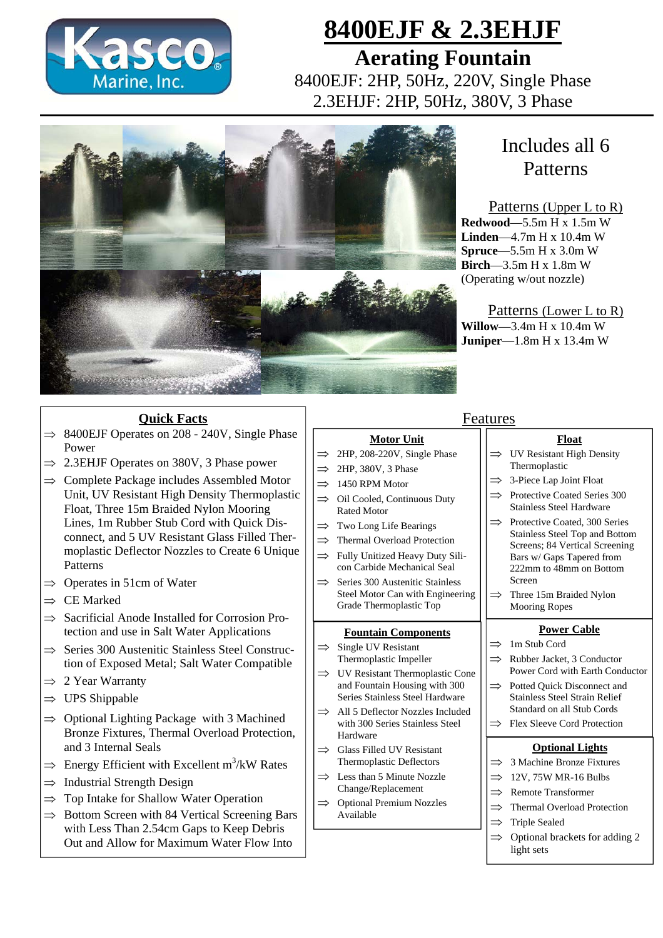

# **8400EJF & 2.3EHJF**

**Aerating Fountain**  8400EJF: 2HP, 50Hz, 220V, Single Phase 2.3EHJF: 2HP, 50Hz, 380V, 3 Phase



# Includes all 6 Patterns

### Patterns (Upper L to R)

**Redwood**—5.5m H x 1.5m W **Linden**—4.7m H x 10.4m W **Spruce**—5.5m H x 3.0m W **Birch**—3.5m H x 1.8m W (Operating w/out nozzle)

Patterns (Lower L to R) **Willow**—3.4m H x 10.4m W **Juniper**—1.8m H x 13.4m W

### **Quick Facts**

- $\Rightarrow$  8400EJF Operates on 208 240V, Single Phase Power
- $\Rightarrow$  2.3EHJF Operates on 380V, 3 Phase power
- $\Rightarrow$  Complete Package includes Assembled Motor Unit, UV Resistant High Density Thermoplastic Float, Three 15m Braided Nylon Mooring Lines, 1m Rubber Stub Cord with Quick Disconnect, and 5 UV Resistant Glass Filled Thermoplastic Deflector Nozzles to Create 6 Unique Patterns
- $\Rightarrow$  Operates in 51cm of Water
- $\Rightarrow$  CE Marked
- $\Rightarrow$  Sacrificial Anode Installed for Corrosion Protection and use in Salt Water Applications
- $\Rightarrow$  Series 300 Austenitic Stainless Steel Construction of Exposed Metal; Salt Water Compatible
- $\Rightarrow$  2 Year Warranty
- $\Rightarrow$  UPS Shippable
- $\Rightarrow$  Optional Lighting Package with 3 Machined Bronze Fixtures, Thermal Overload Protection, and 3 Internal Seals
- $\Rightarrow$  Energy Efficient with Excellent m<sup>3</sup>/kW Rates
- $\Rightarrow$  Industrial Strength Design
- $\Rightarrow$  Top Intake for Shallow Water Operation
- $\Rightarrow$  Bottom Screen with 84 Vertical Screening Bars with Less Than 2.54cm Gaps to Keep Debris Out and Allow for Maximum Water Flow Into

## Features

- **Motor Unit**
- $\implies$  2HP, 208-220V, Single Phase
- $\implies$  2HP, 380V, 3 Phase
- $\implies$  1450 RPM Motor
- $\implies$  Oil Cooled, Continuous Duty Rated Motor
- $\implies$  Two Long Life Bearings
- $\implies$  Thermal Overload Protection
- $\Rightarrow$  Fully Unitized Heavy Duty Silicon Carbide Mechanical Seal
- $\implies$  Series 300 Austenitic Stainless Steel Motor Can with Engineering Grade Thermoplastic Top

#### **Fountain Components**

- $\implies$  Single UV Resistant Thermoplastic Impeller
- $\implies$  UV Resistant Thermoplastic Cone and Fountain Housing with 300 Series Stainless Steel Hardware
- $\Rightarrow$  All 5 Deflector Nozzles Included with 300 Series Stainless Steel Hardware
- $\implies$  Glass Filled UV Resistant Thermoplastic Deflectors
- Less than 5 Minute Nozzle Change/Replacement
- $\implies$  Optional Premium Nozzles Available

#### $\Rightarrow$  Remote Transformer  $\implies$  Thermal Overload Protection  $\implies$  Triple Sealed

 $\implies$  Optional brackets for adding 2 light sets

**Optional Lights**  $\implies$  3 Machine Bronze Fixtures 12V, 75W MR-16 Bulbs

**Power Cable**

**Float**  $\implies$  UV Resistant High Density Thermoplastic  $\implies$  3-Piece Lap Joint Float  $\implies$  Protective Coated Series 300 Stainless Steel Hardware  $\implies$  Protective Coated, 300 Series Stainless Steel Top and Bottom Screens; 84 Vertical Screening Bars w/ Gaps Tapered from 222mm to 48mm on Bottom

Power Cord with Earth Conductor

 $\implies$  Rubber Jacket, 3 Conductor

 $\implies$  Three 15m Braided Nylon Mooring Ropes

 $\implies$  Potted Ouick Disconnect and Stainless Steel Strain Relief Standard on all Stub Cords  $\Rightarrow$  Flex Sleeve Cord Protection

 $\Rightarrow$  1m Stub Cord

Screen